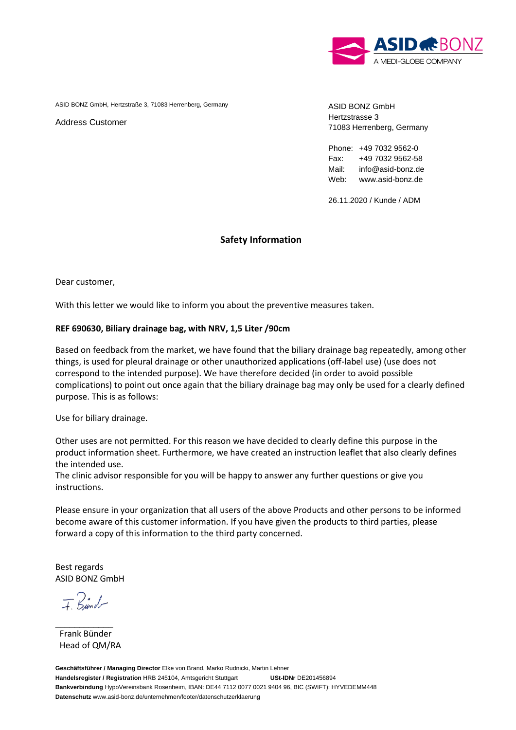

ASID BONZ GmbH, Hertzstraße 3, 71083 Herrenberg, Germany

Address Customer

ASID BONZ GmbH Hertzstrasse 3 71083 Herrenberg, Germany

Phone: +49 7032 9562-0 Fax: +49 7032 9562-58 Mail: info@asid-bonz.de Web: www.asid-bonz.de

26.11.2020 / Kunde / ADM

## **Safety Information**

Dear customer,

With this letter we would like to inform you about the preventive measures taken.

## **REF 690630, Biliary drainage bag, with NRV, 1,5 Liter /90cm**

Based on feedback from the market, we have found that the biliary drainage bag repeatedly, among other things, is used for pleural drainage or other unauthorized applications (off-label use) (use does not correspond to the intended purpose). We have therefore decided (in order to avoid possible complications) to point out once again that the biliary drainage bag may only be used for a clearly defined purpose. This is as follows:

Use for biliary drainage.

Other uses are not permitted. For this reason we have decided to clearly define this purpose in the product information sheet. Furthermore, we have created an instruction leaflet that also clearly defines the intended use.

The clinic advisor responsible for you will be happy to answer any further questions or give you instructions.

Please ensure in your organization that all users of the above Products and other persons to be informed become aware of this customer information. If you have given the products to third parties, please forward a copy of this information to the third party concerned.

Best regards ASID BONZ GmbH

 $F$  Bund

\_\_\_\_\_\_\_\_\_\_\_\_

 Frank Bünder Head of QM/RA